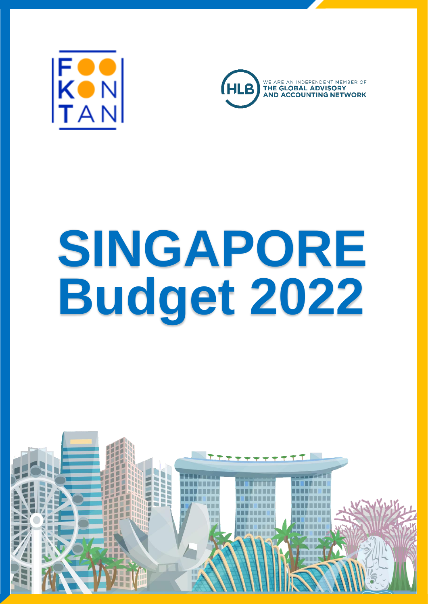



# **SINGAPORE Budget 2022**

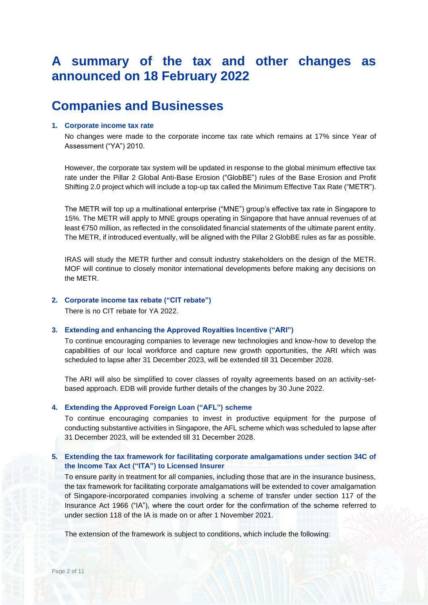# **A summary of the tax and other changes as announced on 18 February 2022**

# **Companies and Businesses**

## **1. Corporate income tax rate**

No changes were made to the corporate income tax rate which remains at 17% since Year of Assessment ("YA") 2010.

However, the corporate tax system will be updated in response to the global minimum effective tax rate under the Pillar 2 Global Anti-Base Erosion ("GlobBE") rules of the Base Erosion and Profit Shifting 2.0 project which will include a top-up tax called the Minimum Effective Tax Rate ("METR").

The METR will top up a multinational enterprise ("MNE") group's effective tax rate in Singapore to 15%. The METR will apply to MNE groups operating in Singapore that have annual revenues of at least €750 million, as reflected in the consolidated financial statements of the ultimate parent entity. The METR, if introduced eventually, will be aligned with the Pillar 2 GlobBE rules as far as possible.

IRAS will study the METR further and consult industry stakeholders on the design of the METR. MOF will continue to closely monitor international developments before making any decisions on the METR.

## **2. Corporate income tax rebate ("CIT rebate")**

There is no CIT rebate for YA 2022.

## **3. Extending and enhancing the Approved Royalties Incentive ("ARI")**

To continue encouraging companies to leverage new technologies and know-how to develop the capabilities of our local workforce and capture new growth opportunities, the ARI which was scheduled to lapse after 31 December 2023, will be extended till 31 December 2028.

The ARI will also be simplified to cover classes of royalty agreements based on an activity-setbased approach. EDB will provide further details of the changes by 30 June 2022.

# **4. Extending the Approved Foreign Loan ("AFL") scheme**

To continue encouraging companies to invest in productive equipment for the purpose of conducting substantive activities in Singapore, the AFL scheme which was scheduled to lapse after 31 December 2023, will be extended till 31 December 2028.

# **5. Extending the tax framework for facilitating corporate amalgamations under section 34C of the Income Tax Act ("ITA") to Licensed Insurer**

To ensure parity in treatment for all companies, including those that are in the insurance business, the tax framework for facilitating corporate amalgamations will be extended to cover amalgamation of Singapore-incorporated companies involving a scheme of transfer under section 117 of the Insurance Act 1966 ("IA"), where the court order for the confirmation of the scheme referred to under section 118 of the IA is made on or after 1 November 2021.

The extension of the framework is subject to conditions, which include the following: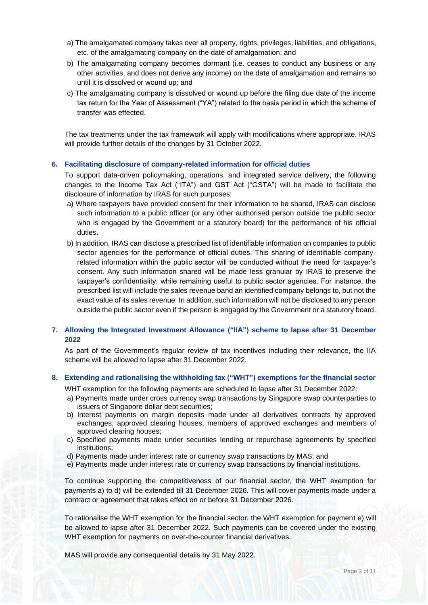- a) The amalgamated company takes over all property, rights, privileges, liabilities, and obligations, etc. of the amalgamating company on the date of amalgamation; and
- b) The amalgamating company becomes dormant (i.e. ceases to conduct any business or any other activities, and does not derive any income) on the date of amalgamation and remains so until it is dissolved or wound up; and
- c) The amalgamating company is dissolved or wound up before the filing due date of the income tax return for the Year of Assessment ("YA") related to the basis period in which the scheme of transfer was effected.

The tax treatments under the tax framework will apply with modifications where appropriate. IRAS will provide further details of the changes by 31 October 2022.

#### **6. Facilitating disclosure of company-related information for official duties**

To support data-driven policymaking, operations, and integrated service delivery, the following changes to the Income Tax Act ("ITA") and GST Act ("GSTA") will be made to facilitate the disclosure of information by IRAS for such purposes:

- a) Where taxpayers have provided consent for their information to be shared, IRAS can disclose such information to a public officer (or any other authorised person outside the public sector who is engaged by the Government or a statutory board) for the performance of his official duties.
- b) In addition, IRAS can disclose a prescribed list of identifiable information on companies to public sector agencies for the performance of official duties. This sharing of identifiable companyrelated information within the public sector will be conducted without the need for taxpayer's consent. Any such information shared will be made less granular by IRAS to preserve the taxpayer's confidentiality, while remaining useful to public sector agencies. For instance, the prescribed list will include the sales revenue band an identified company belongs to, but not the exact value of its sales revenue. In addition, such information will not be disclosed to any person outside the public sector even if the person is engaged by the Government or a statutory board.

# **7. Allowing the Integrated Investment Allowance ("IIA") scheme to lapse after 31 December 2022**

As part of the Government's regular review of tax incentives including their relevance, the IIA scheme will be allowed to lapse after 31 December 2022.

## **8. Extending and rationalising the withholding tax ("WHT") exemptions for the financial sector**

WHT exemption for the following payments are scheduled to lapse after 31 December 2022:

- a) Payments made under cross currency swap transactions by Singapore swap counterparties to issuers of Singapore dollar debt securities;
- b) Interest payments on margin deposits made under all derivatives contracts by approved exchanges, approved clearing houses, members of approved exchanges and members of approved clearing houses;
- c) Specified payments made under securities lending or repurchase agreements by specified institutions;
- d) Payments made under interest rate or currency swap transactions by MAS; and
- e) Payments made under interest rate or currency swap transactions by financial institutions.

To continue supporting the competitiveness of our financial sector, the WHT exemption for payments a) to d) will be extended till 31 December 2026. This will cover payments made under a contract or agreement that takes effect on or before 31 December 2026.

To rationalise the WHT exemption for the financial sector, the WHT exemption for payment e) will be allowed to lapse after 31 December 2022. Such payments can be covered under the existing WHT exemption for payments on over-the-counter financial derivatives.

MAS will provide any consequential details by 31 May 2022.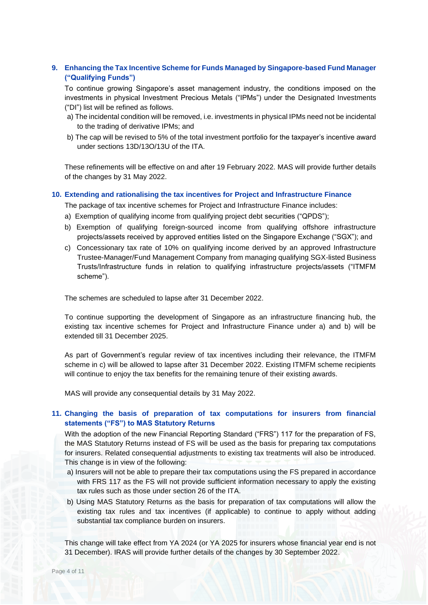# **9. Enhancing the Tax Incentive Scheme for Funds Managed by Singapore-based Fund Manager ("Qualifying Funds")**

To continue growing Singapore's asset management industry, the conditions imposed on the investments in physical Investment Precious Metals ("IPMs") under the Designated Investments ("DI") list will be refined as follows.

- a) The incidental condition will be removed, i.e. investments in physical IPMs need not be incidental to the trading of derivative IPMs; and
- b) The cap will be revised to 5% of the total investment portfolio for the taxpayer's incentive award under sections 13D/13O/13U of the ITA.

These refinements will be effective on and after 19 February 2022. MAS will provide further details of the changes by 31 May 2022.

#### **10. Extending and rationalising the tax incentives for Project and Infrastructure Finance**

The package of tax incentive schemes for Project and Infrastructure Finance includes:

- a) Exemption of qualifying income from qualifying project debt securities ("QPDS");
- b) Exemption of qualifying foreign-sourced income from qualifying offshore infrastructure projects/assets received by approved entities listed on the Singapore Exchange ("SGX"); and
- c) Concessionary tax rate of 10% on qualifying income derived by an approved Infrastructure Trustee-Manager/Fund Management Company from managing qualifying SGX-listed Business Trusts/Infrastructure funds in relation to qualifying infrastructure projects/assets ("ITMFM scheme").

The schemes are scheduled to lapse after 31 December 2022.

To continue supporting the development of Singapore as an infrastructure financing hub, the existing tax incentive schemes for Project and Infrastructure Finance under a) and b) will be extended till 31 December 2025.

As part of Government's regular review of tax incentives including their relevance, the ITMFM scheme in c) will be allowed to lapse after 31 December 2022. Existing ITMFM scheme recipients will continue to enjoy the tax benefits for the remaining tenure of their existing awards.

MAS will provide any consequential details by 31 May 2022.

# **11. Changing the basis of preparation of tax computations for insurers from financial statements ("FS") to MAS Statutory Returns**

With the adoption of the new Financial Reporting Standard ("FRS") 117 for the preparation of FS, the MAS Statutory Returns instead of FS will be used as the basis for preparing tax computations for insurers. Related consequential adjustments to existing tax treatments will also be introduced. This change is in view of the following:

- a) Insurers will not be able to prepare their tax computations using the FS prepared in accordance with FRS 117 as the FS will not provide sufficient information necessary to apply the existing tax rules such as those under section 26 of the ITA.
- b) Using MAS Statutory Returns as the basis for preparation of tax computations will allow the existing tax rules and tax incentives (if applicable) to continue to apply without adding substantial tax compliance burden on insurers.

This change will take effect from YA 2024 (or YA 2025 for insurers whose financial year end is not 31 December). IRAS will provide further details of the changes by 30 September 2022.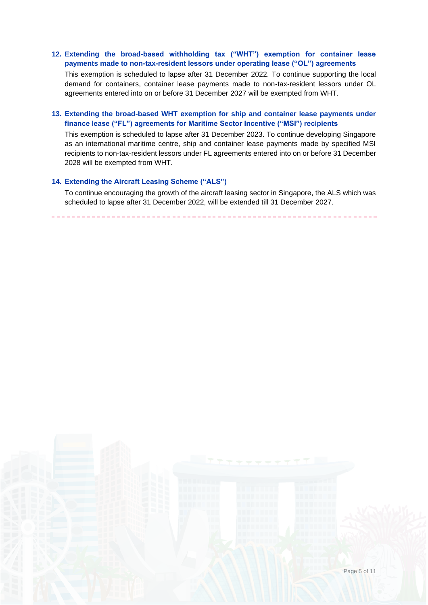# **12. Extending the broad-based withholding tax ("WHT") exemption for container lease payments made to non-tax-resident lessors under operating lease ("OL") agreements**

This exemption is scheduled to lapse after 31 December 2022. To continue supporting the local demand for containers, container lease payments made to non-tax-resident lessors under OL agreements entered into on or before 31 December 2027 will be exempted from WHT.

# **13. Extending the broad-based WHT exemption for ship and container lease payments under finance lease ("FL") agreements for Maritime Sector Incentive ("MSI") recipients**

This exemption is scheduled to lapse after 31 December 2023. To continue developing Singapore as an international maritime centre, ship and container lease payments made by specified MSI recipients to non-tax-resident lessors under FL agreements entered into on or before 31 December 2028 will be exempted from WHT.

# **14. Extending the Aircraft Leasing Scheme ("ALS")**

To continue encouraging the growth of the aircraft leasing sector in Singapore, the ALS which was scheduled to lapse after 31 December 2022, will be extended till 31 December 2027.

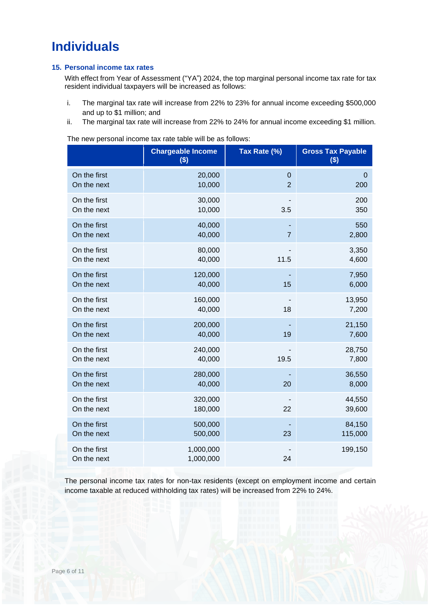# **Individuals**

# **15. Personal income tax rates**

With effect from Year of Assessment ("YA") 2024, the top marginal personal income tax rate for tax resident individual taxpayers will be increased as follows:

- i. The marginal tax rate will increase from 22% to 23% for annual income exceeding \$500,000 and up to \$1 million; and
- ii. The marginal tax rate will increase from 22% to 24% for annual income exceeding \$1 million.

The new personal income tax rate table will be as follows:

|                             | <b>Chargeable Income</b><br>$($)$ | Tax Rate (%)   | <b>Gross Tax Payable</b><br>\$) |
|-----------------------------|-----------------------------------|----------------|---------------------------------|
| On the first                | 20,000                            | $\mathbf 0$    | $\overline{0}$                  |
| On the next                 | 10,000                            | $\overline{2}$ | 200                             |
| On the first                | 30,000                            | 3.5            | 200                             |
| On the next                 | 10,000                            |                | 350                             |
| On the first                | 40,000                            | $\overline{7}$ | 550                             |
| On the next                 | 40,000                            |                | 2,800                           |
| On the first                | 80,000                            | 11.5           | 3,350                           |
| On the next                 | 40,000                            |                | 4,600                           |
| On the first                | 120,000                           | 15             | 7,950                           |
| On the next                 | 40,000                            |                | 6,000                           |
| On the first                | 160,000                           | 18             | 13,950                          |
| On the next                 | 40,000                            |                | 7,200                           |
| On the first                | 200,000                           | 19             | 21,150                          |
| On the next                 | 40,000                            |                | 7,600                           |
| On the first                | 240,000                           | 19.5           | 28,750                          |
| On the next                 | 40,000                            |                | 7,800                           |
| On the first                | 280,000                           | 20             | 36,550                          |
| On the next                 | 40,000                            |                | 8,000                           |
| On the first                | 320,000                           | 22             | 44,550                          |
| On the next                 | 180,000                           |                | 39,600                          |
| On the first                | 500,000                           | 23             | 84,150                          |
| On the next                 | 500,000                           |                | 115,000                         |
| On the first<br>On the next | 1,000,000<br>1,000,000            | 24             | 199,150                         |

The personal income tax rates for non-tax residents (except on employment income and certain income taxable at reduced withholding tax rates) will be increased from 22% to 24%.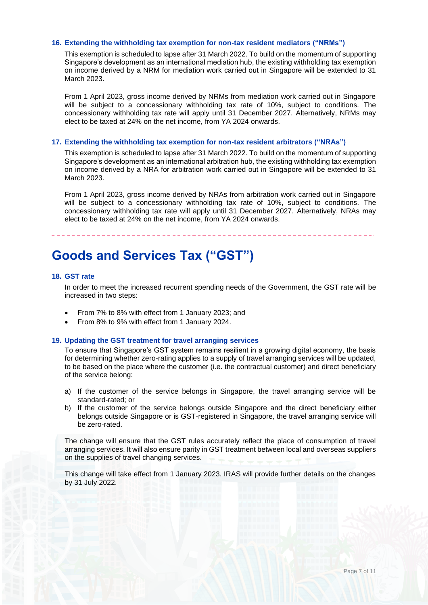# **16. Extending the withholding tax exemption for non-tax resident mediators ("NRMs")**

This exemption is scheduled to lapse after 31 March 2022. To build on the momentum of supporting Singapore's development as an international mediation hub, the existing withholding tax exemption on income derived by a NRM for mediation work carried out in Singapore will be extended to 31 March 2023.

From 1 April 2023, gross income derived by NRMs from mediation work carried out in Singapore will be subject to a concessionary withholding tax rate of 10%, subject to conditions. The concessionary withholding tax rate will apply until 31 December 2027. Alternatively, NRMs may elect to be taxed at 24% on the net income, from YA 2024 onwards.

## **17. Extending the withholding tax exemption for non-tax resident arbitrators ("NRAs")**

This exemption is scheduled to lapse after 31 March 2022. To build on the momentum of supporting Singapore's development as an international arbitration hub, the existing withholding tax exemption on income derived by a NRA for arbitration work carried out in Singapore will be extended to 31 March 2023.

From 1 April 2023, gross income derived by NRAs from arbitration work carried out in Singapore will be subject to a concessionary withholding tax rate of 10%, subject to conditions. The concessionary withholding tax rate will apply until 31 December 2027. Alternatively, NRAs may elect to be taxed at 24% on the net income, from YA 2024 onwards.

# **Goods and Services Tax ("GST")**

#### **18. GST rate**

In order to meet the increased recurrent spending needs of the Government, the GST rate will be increased in two steps:

- From 7% to 8% with effect from 1 January 2023; and
- From 8% to 9% with effect from 1 January 2024.

#### **19. Updating the GST treatment for travel arranging services**

To ensure that Singapore's GST system remains resilient in a growing digital economy, the basis for determining whether zero-rating applies to a supply of travel arranging services will be updated, to be based on the place where the customer (i.e. the contractual customer) and direct beneficiary of the service belong:

- a) If the customer of the service belongs in Singapore, the travel arranging service will be standard-rated; or
- b) If the customer of the service belongs outside Singapore and the direct beneficiary either belongs outside Singapore or is GST-registered in Singapore, the travel arranging service will be zero-rated.

The change will ensure that the GST rules accurately reflect the place of consumption of travel arranging services. It will also ensure parity in GST treatment between local and overseas suppliers on the supplies of travel changing services.

This change will take effect from 1 January 2023. IRAS will provide further details on the changes by 31 July 2022.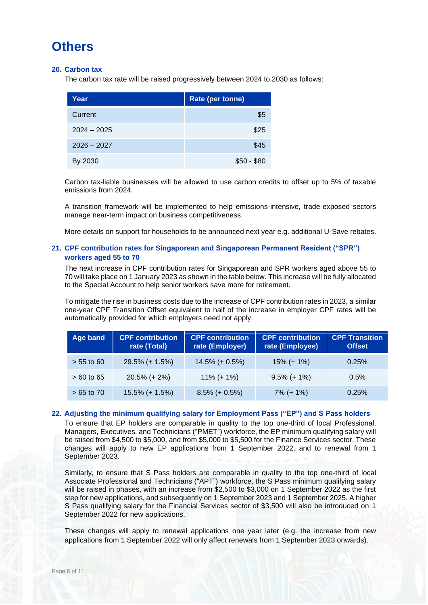# **Others**

# **20. Carbon tax**

The carbon tax rate will be raised progressively between 2024 to 2030 as follows:

| Year          | Rate (per tonne) |
|---------------|------------------|
| Current       | \$5              |
| $2024 - 2025$ | \$25             |
| $2026 - 2027$ | \$45             |
| By 2030       | $$50 - $80$      |

Carbon tax-liable businesses will be allowed to use carbon credits to offset up to 5% of taxable emissions from 2024.

A transition framework will be implemented to help emissions-intensive, trade-exposed sectors manage near-term impact on business competitiveness.

More details on support for households to be announced next year e.g. additional U-Save rebates.

# **21. CPF contribution rates for Singaporean and Singaporean Permanent Resident ("SPR") workers aged 55 to 70**

The next increase in CPF contribution rates for Singaporean and SPR workers aged above 55 to 70 will take place on 1 January 2023 as shown in the table below. This increase will be fully allocated to the Special Account to help senior workers save more for retirement.

To mitigate the rise in business costs due to the increase of CPF contribution rates in 2023, a similar one-year CPF Transition Offset equivalent to half of the increase in employer CPF rates will be automatically provided for which employers need not apply.

| Age band     | <b>CPF contribution</b><br>rate (Total) | <b>CPF contribution</b><br>rate (Employer) | <b>CPF contribution</b><br>rate (Employee) | <b>CPF Transition</b><br><b>Offset</b> |
|--------------|-----------------------------------------|--------------------------------------------|--------------------------------------------|----------------------------------------|
| $> 55$ to 60 | $29.5\%$ (+ 1.5%)                       | $14.5\% (+ 0.5\%)$                         | $15\%$ (+ 1%)                              | 0.25%                                  |
| $>60$ to 65  | $20.5\%$ (+ 2%)                         | $11\% (+ 1\%)$                             | $9.5\%$ (+ 1%)                             | 0.5%                                   |
| $>65$ to 70  | $15.5\%$ (+ 1.5%)                       | $8.5\%$ (+ 0.5%)                           | $7\%$ (+ 1%)                               | 0.25%                                  |

# **22. Adjusting the minimum qualifying salary for Employment Pass ("EP") and S Pass holders**

To ensure that EP holders are comparable in quality to the top one-third of local Professional, Managers, Executives, and Technicians ("PMET") workforce, the EP minimum qualifying salary will be raised from \$4,500 to \$5,000, and from \$5,000 to \$5,500 for the Finance Services sector. These changes will apply to new EP applications from 1 September 2022, and to renewal from 1 September 2023.

Similarly, to ensure that S Pass holders are comparable in quality to the top one-third of local Associate Professional and Technicians ("APT") workforce, the S Pass minimum qualifying salary will be raised in phases, with an increase from \$2,500 to \$3,000 on 1 September 2022 as the first step for new applications, and subsequently on 1 September 2023 and 1 September 2025. A higher S Pass qualifying salary for the Financial Services sector of \$3,500 will also be introduced on 1 September 2022 for new applications.

These changes will apply to renewal applications one year later (e.g. the increase from new applications from 1 September 2022 will only affect renewals from 1 September 2023 onwards).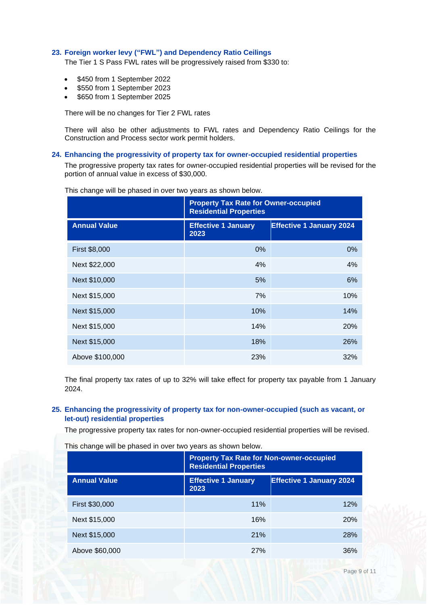## **23. Foreign worker levy ("FWL") and Dependency Ratio Ceilings**

The Tier 1 S Pass FWL rates will be progressively raised from \$330 to:

- \$450 from 1 September 2022
- \$550 from 1 September 2023
- \$650 from 1 September 2025

There will be no changes for Tier 2 FWL rates

There will also be other adjustments to FWL rates and Dependency Ratio Ceilings for the Construction and Process sector work permit holders.

#### **24. Enhancing the progressivity of property tax for owner-occupied residential properties**

The progressive property tax rates for owner-occupied residential properties will be revised for the portion of annual value in excess of \$30,000.

|                     | <b>Property Tax Rate for Owner-occupied</b><br><b>Residential Properties</b> |                                 |
|---------------------|------------------------------------------------------------------------------|---------------------------------|
| <b>Annual Value</b> | <b>Effective 1 January</b><br>2023                                           | <b>Effective 1 January 2024</b> |
| First \$8,000       | $0\%$                                                                        | 0%                              |
| Next \$22,000       | 4%                                                                           | 4%                              |
| Next \$10,000       | 5%                                                                           | 6%                              |
| Next \$15,000       | 7%                                                                           | 10%                             |
| Next \$15,000       | 10%                                                                          | 14%                             |
| Next \$15,000       | 14%                                                                          | 20%                             |
| Next \$15,000       | 18%                                                                          | 26%                             |
| Above \$100,000     | 23%                                                                          | 32%                             |

This change will be phased in over two years as shown below.

The final property tax rates of up to 32% will take effect for property tax payable from 1 January 2024.

# **25. Enhancing the progressivity of property tax for non-owner-occupied (such as vacant, or let-out) residential properties**

The progressive property tax rates for non-owner-occupied residential properties will be revised.

This change will be phased in over two years as shown below.

|                     | <b>Property Tax Rate for Non-owner-occupied</b><br><b>Residential Properties</b> |                                 |
|---------------------|----------------------------------------------------------------------------------|---------------------------------|
| <b>Annual Value</b> | <b>Effective 1 January</b><br>2023                                               | <b>Effective 1 January 2024</b> |
| First \$30,000      | 11%                                                                              | 12%                             |
| Next \$15,000       | 16%                                                                              | 20%                             |
| Next \$15,000       | 21%                                                                              | <b>28%</b>                      |
| Above \$60,000      | <b>27%</b>                                                                       | 36%                             |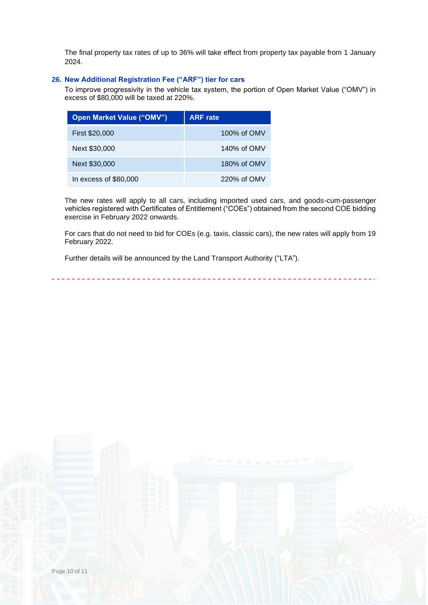The final property tax rates of up to 36% will take effect from property tax payable from 1 January 2024.

# **26. New Additional Registration Fee ("ARF") tier for cars**

To improve progressivity in the vehicle tax system, the portion of Open Market Value ("OMV") in excess of \$80,000 will be taxed at 220%.

| <b>Open Market Value ("OMV")</b> | <b>ARF</b> rate |
|----------------------------------|-----------------|
| First \$20,000                   | 100% of OMV     |
| Next \$30,000                    | 140% of OMV     |
| Next \$30,000                    | 180% of OMV     |
| In excess of \$80,000            | 220% of OMV     |

The new rates will apply to all cars, including imported used cars, and goods-cum-passenger vehicles registered with Certificates of Entitlement ("COEs") obtained from the second COE bidding exercise in February 2022 onwards.

For cars that do not need to bid for COEs (e.g. taxis, classic cars), the new rates will apply from 19 February 2022.

Further details will be announced by the Land Transport Authority ("LTA").